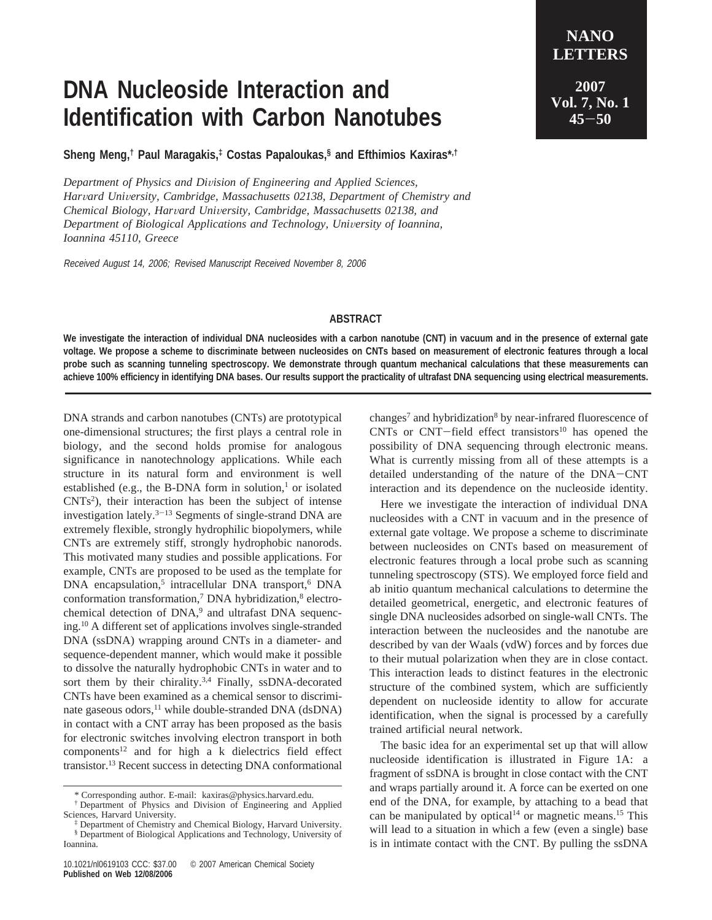## **DNA Nucleoside Interaction and Identification with Carbon Nanotubes**

**Sheng Meng,† Paul Maragakis,‡ Costas Papaloukas,§ and Efthimios Kaxiras\*,†**

*Department of Physics and Di*V*ision of Engineering and Applied Sciences, Har*V*ard Uni*V*ersity, Cambridge, Massachusetts 02138, Department of Chemistry and Chemical Biology, Har*V*ard Uni*V*ersity, Cambridge, Massachusetts 02138, and* Department of Biological Applications and Technology, University of Ioannina, *Ioannina 45110, Greece*

Received August 14, 2006; Revised Manuscript Received November 8, 2006

## **LETTERS 2007 Vol. 7, No. 1 <sup>45</sup>**-**<sup>50</sup>**

**NANO**

## **ABSTRACT**

**We investigate the interaction of individual DNA nucleosides with a carbon nanotube (CNT) in vacuum and in the presence of external gate voltage. We propose a scheme to discriminate between nucleosides on CNTs based on measurement of electronic features through a local probe such as scanning tunneling spectroscopy. We demonstrate through quantum mechanical calculations that these measurements can achieve 100% efficiency in identifying DNA bases. Our results support the practicality of ultrafast DNA sequencing using electrical measurements.**

DNA strands and carbon nanotubes (CNTs) are prototypical one-dimensional structures; the first plays a central role in biology, and the second holds promise for analogous significance in nanotechnology applications. While each structure in its natural form and environment is well established (e.g., the B-DNA form in solution, $\frac{1}{1}$  or isolated CNTs2 ), their interaction has been the subject of intense investigation lately. $3-13$  Segments of single-strand DNA are extremely flexible, strongly hydrophilic biopolymers, while CNTs are extremely stiff, strongly hydrophobic nanorods. This motivated many studies and possible applications. For example, CNTs are proposed to be used as the template for DNA encapsulation,<sup>5</sup> intracellular DNA transport,<sup>6</sup> DNA conformation transformation,<sup>7</sup> DNA hybridization,<sup>8</sup> electrochemical detection of DNA,<sup>9</sup> and ultrafast DNA sequencing.10 A different set of applications involves single-stranded DNA (ssDNA) wrapping around CNTs in a diameter- and sequence-dependent manner, which would make it possible to dissolve the naturally hydrophobic CNTs in water and to sort them by their chirality.<sup>3,4</sup> Finally, ssDNA-decorated CNTs have been examined as a chemical sensor to discriminate gaseous odors,<sup>11</sup> while double-stranded DNA (dsDNA) in contact with a CNT array has been proposed as the basis for electronic switches involving electron transport in both  $components<sup>12</sup>$  and for high a k dielectrics field effect transistor.13 Recent success in detecting DNA conformational

changes<sup>7</sup> and hybridization<sup>8</sup> by near-infrared fluorescence of CNTs or CNT-field effect transistors<sup>10</sup> has opened the possibility of DNA sequencing through electronic means. What is currently missing from all of these attempts is a detailed understanding of the nature of the DNA-CNT interaction and its dependence on the nucleoside identity.

Here we investigate the interaction of individual DNA nucleosides with a CNT in vacuum and in the presence of external gate voltage. We propose a scheme to discriminate between nucleosides on CNTs based on measurement of electronic features through a local probe such as scanning tunneling spectroscopy (STS). We employed force field and ab initio quantum mechanical calculations to determine the detailed geometrical, energetic, and electronic features of single DNA nucleosides adsorbed on single-wall CNTs. The interaction between the nucleosides and the nanotube are described by van der Waals (vdW) forces and by forces due to their mutual polarization when they are in close contact. This interaction leads to distinct features in the electronic structure of the combined system, which are sufficiently dependent on nucleoside identity to allow for accurate identification, when the signal is processed by a carefully trained artificial neural network.

The basic idea for an experimental set up that will allow nucleoside identification is illustrated in Figure 1A: a fragment of ssDNA is brought in close contact with the CNT and wraps partially around it. A force can be exerted on one end of the DNA, for example, by attaching to a bead that can be manipulated by optical<sup>14</sup> or magnetic means.<sup>15</sup> This will lead to a situation in which a few (even a single) base is in intimate contact with the CNT. By pulling the ssDNA

<sup>\*</sup> Corresponding author. E-mail: kaxiras@physics.harvard.edu.

<sup>†</sup> Department of Physics and Division of Engineering and Applied Sciences, Harvard University.

<sup>‡</sup> Department of Chemistry and Chemical Biology, Harvard University. § Department of Biological Applications and Technology, University of

Ioannina.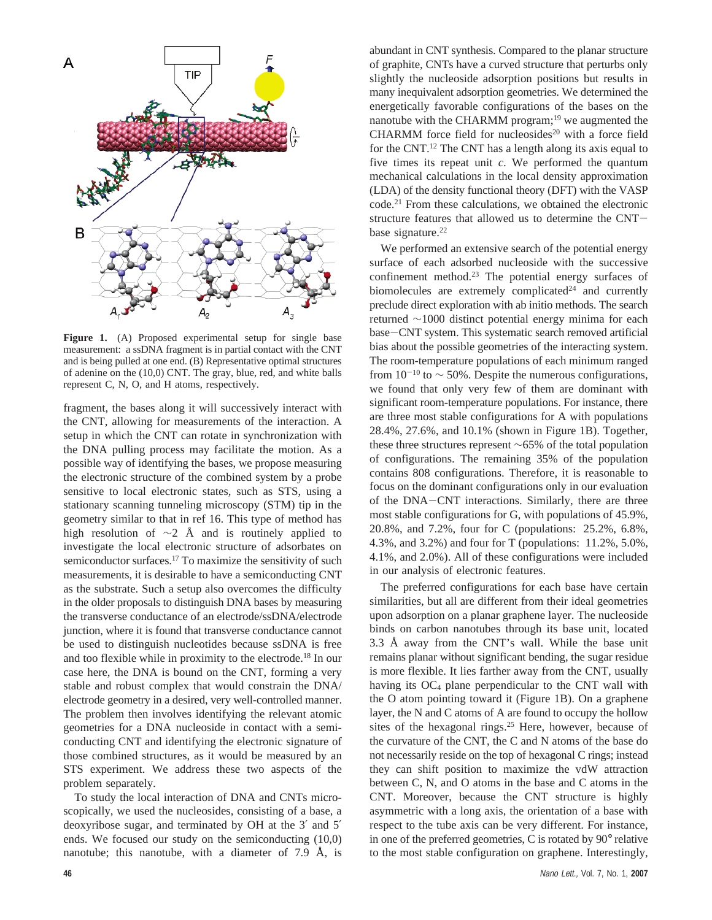

**Figure 1.** (A) Proposed experimental setup for single base measurement: a ssDNA fragment is in partial contact with the CNT and is being pulled at one end. (B) Representative optimal structures of adenine on the (10,0) CNT. The gray, blue, red, and white balls represent C, N, O, and H atoms, respectively.

fragment, the bases along it will successively interact with the CNT, allowing for measurements of the interaction. A setup in which the CNT can rotate in synchronization with the DNA pulling process may facilitate the motion. As a possible way of identifying the bases, we propose measuring the electronic structure of the combined system by a probe sensitive to local electronic states, such as STS, using a stationary scanning tunneling microscopy (STM) tip in the geometry similar to that in ref 16. This type of method has high resolution of  $\sim$ 2 Å and is routinely applied to investigate the local electronic structure of adsorbates on semiconductor surfaces.<sup>17</sup> To maximize the sensitivity of such measurements, it is desirable to have a semiconducting CNT as the substrate. Such a setup also overcomes the difficulty in the older proposals to distinguish DNA bases by measuring the transverse conductance of an electrode/ssDNA/electrode junction, where it is found that transverse conductance cannot be used to distinguish nucleotides because ssDNA is free and too flexible while in proximity to the electrode.18 In our case here, the DNA is bound on the CNT, forming a very stable and robust complex that would constrain the DNA/ electrode geometry in a desired, very well-controlled manner. The problem then involves identifying the relevant atomic geometries for a DNA nucleoside in contact with a semiconducting CNT and identifying the electronic signature of those combined structures, as it would be measured by an STS experiment. We address these two aspects of the problem separately.

To study the local interaction of DNA and CNTs microscopically, we used the nucleosides, consisting of a base, a deoxyribose sugar, and terminated by OH at the 3′ and 5′ ends. We focused our study on the semiconducting (10,0) nanotube; this nanotube, with a diameter of 7.9 Å, is

abundant in CNT synthesis. Compared to the planar structure of graphite, CNTs have a curved structure that perturbs only slightly the nucleoside adsorption positions but results in many inequivalent adsorption geometries. We determined the energetically favorable configurations of the bases on the nanotube with the CHARMM program;<sup>19</sup> we augmented the CHARMM force field for nucleosides<sup>20</sup> with a force field for the CNT.12 The CNT has a length along its axis equal to five times its repeat unit *c*. We performed the quantum mechanical calculations in the local density approximation (LDA) of the density functional theory (DFT) with the VASP code.21 From these calculations, we obtained the electronic structure features that allowed us to determine the CNTbase signature.<sup>22</sup>

We performed an extensive search of the potential energy surface of each adsorbed nucleoside with the successive confinement method.<sup>23</sup> The potential energy surfaces of biomolecules are extremely complicated $24$  and currently preclude direct exploration with ab initio methods. The search returned ∼1000 distinct potential energy minima for each base-CNT system. This systematic search removed artificial bias about the possible geometries of the interacting system. The room-temperature populations of each minimum ranged from  $10^{-10}$  to  $\sim$  50%. Despite the numerous configurations, we found that only very few of them are dominant with significant room-temperature populations. For instance, there are three most stable configurations for A with populations 28.4%, 27.6%, and 10.1% (shown in Figure 1B). Together, these three structures represent ∼65% of the total population of configurations. The remaining 35% of the population contains 808 configurations. Therefore, it is reasonable to focus on the dominant configurations only in our evaluation of the DNA-CNT interactions. Similarly, there are three most stable configurations for G, with populations of 45.9%, 20.8%, and 7.2%, four for C (populations: 25.2%, 6.8%, 4.3%, and 3.2%) and four for T (populations: 11.2%, 5.0%, 4.1%, and 2.0%). All of these configurations were included in our analysis of electronic features.

The preferred configurations for each base have certain similarities, but all are different from their ideal geometries upon adsorption on a planar graphene layer. The nucleoside binds on carbon nanotubes through its base unit, located 3.3 Å away from the CNT's wall. While the base unit remains planar without significant bending, the sugar residue is more flexible. It lies farther away from the CNT, usually having its  $OC_4$  plane perpendicular to the CNT wall with the O atom pointing toward it (Figure 1B). On a graphene layer, the N and C atoms of A are found to occupy the hollow sites of the hexagonal rings.<sup>25</sup> Here, however, because of the curvature of the CNT, the C and N atoms of the base do not necessarily reside on the top of hexagonal C rings; instead they can shift position to maximize the vdW attraction between C, N, and O atoms in the base and C atoms in the CNT. Moreover, because the CNT structure is highly asymmetric with a long axis, the orientation of a base with respect to the tube axis can be very different. For instance, in one of the preferred geometries, C is rotated by 90° relative to the most stable configuration on graphene. Interestingly,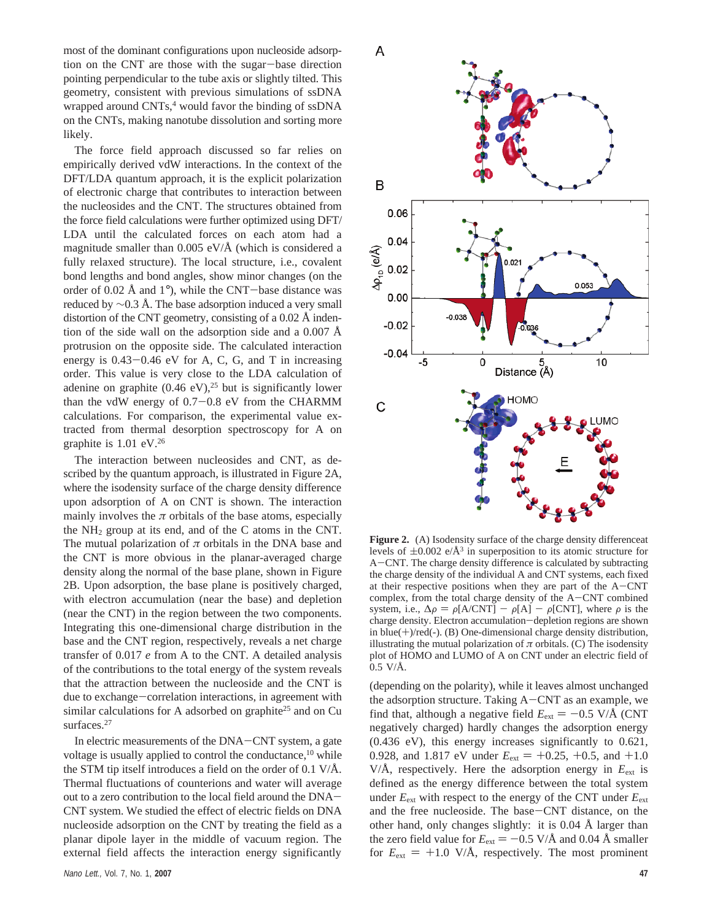most of the dominant configurations upon nucleoside adsorption on the CNT are those with the sugar-base direction pointing perpendicular to the tube axis or slightly tilted. This geometry, consistent with previous simulations of ssDNA wrapped around CNTs,<sup>4</sup> would favor the binding of ssDNA on the CNTs, making nanotube dissolution and sorting more likely.

The force field approach discussed so far relies on empirically derived vdW interactions. In the context of the DFT/LDA quantum approach, it is the explicit polarization of electronic charge that contributes to interaction between the nucleosides and the CNT. The structures obtained from the force field calculations were further optimized using DFT/ LDA until the calculated forces on each atom had a magnitude smaller than  $0.005$  eV/ $\AA$  (which is considered a fully relaxed structure). The local structure, i.e., covalent bond lengths and bond angles, show minor changes (on the order of 0.02 Å and  $1^{\circ}$ ), while the CNT-base distance was reduced by  $\sim$ 0.3 Å. The base adsorption induced a very small distortion of the CNT geometry, consisting of a 0.02 Å indention of the side wall on the adsorption side and a  $0.007 \text{ Å}$ protrusion on the opposite side. The calculated interaction energy is  $0.43 - 0.46$  eV for A, C, G, and T in increasing order. This value is very close to the LDA calculation of adenine on graphite  $(0.46 \text{ eV})$ ,<sup>25</sup> but is significantly lower than the vdW energy of  $0.7-0.8$  eV from the CHARMM calculations. For comparison, the experimental value extracted from thermal desorption spectroscopy for A on graphite is 1.01 eV.26

The interaction between nucleosides and CNT, as described by the quantum approach, is illustrated in Figure 2A, where the isodensity surface of the charge density difference upon adsorption of A on CNT is shown. The interaction mainly involves the  $\pi$  orbitals of the base atoms, especially the  $NH<sub>2</sub>$  group at its end, and of the C atoms in the CNT. The mutual polarization of *π* orbitals in the DNA base and the CNT is more obvious in the planar-averaged charge density along the normal of the base plane, shown in Figure 2B. Upon adsorption, the base plane is positively charged, with electron accumulation (near the base) and depletion (near the CNT) in the region between the two components. Integrating this one-dimensional charge distribution in the base and the CNT region, respectively, reveals a net charge transfer of 0.017 *e* from A to the CNT. A detailed analysis of the contributions to the total energy of the system reveals that the attraction between the nucleoside and the CNT is due to exchange-correlation interactions, in agreement with similar calculations for A adsorbed on graphite<sup>25</sup> and on Cu surfaces.<sup>27</sup>

In electric measurements of the DNA-CNT system, a gate voltage is usually applied to control the conductance,<sup>10</sup> while the STM tip itself introduces a field on the order of 0.1 V/Å. Thermal fluctuations of counterions and water will average out to a zero contribution to the local field around the DNA-CNT system. We studied the effect of electric fields on DNA nucleoside adsorption on the CNT by treating the field as a planar dipole layer in the middle of vacuum region. The external field affects the interaction energy significantly



**Figure 2.** (A) Isodensity surface of the charge density differenceat levels of  $\pm 0.002$  e/Å<sup>3</sup> in superposition to its atomic structure for <sup>A</sup>-CNT. The charge density difference is calculated by subtracting the charge density of the individual A and CNT systems, each fixed at their respective positions when they are part of the A-CNT complex, from the total charge density of the  $A-CNT$  combined system, i.e.,  $\Delta \rho = \rho [A/CNT] - \rho [A] - \rho [CNT]$ , where  $\rho$  is the charge density. Electron accumulation-depletion regions are shown in blue(+)/red(-). (B) One-dimensional charge density distribution, illustrating the mutual polarization of  $\pi$  orbitals. (C) The isodensity plot of HOMO and LUMO of A on CNT under an electric field of  $0.5$  V/A.

(depending on the polarity), while it leaves almost unchanged the adsorption structure. Taking A-CNT as an example, we find that, although a negative field  $E_{ext} = -0.5$  V/Å (CNT negatively charged) hardly changes the adsorption energy (0.436 eV), this energy increases significantly to 0.621, 0.928, and 1.817 eV under  $E_{ext} = +0.25, +0.5,$  and  $+1.0$ V/Å, respectively. Here the adsorption energy in  $E_{\text{ext}}$  is defined as the energy difference between the total system under  $E_{ext}$  with respect to the energy of the CNT under  $E_{ext}$ and the free nucleoside. The base-CNT distance, on the other hand, only changes slightly: it is 0.04 Å larger than the zero field value for  $E_{ext} = -0.5$  V/Å and 0.04 Å smaller for  $E_{ext} = +1.0$  V/Å, respectively. The most prominent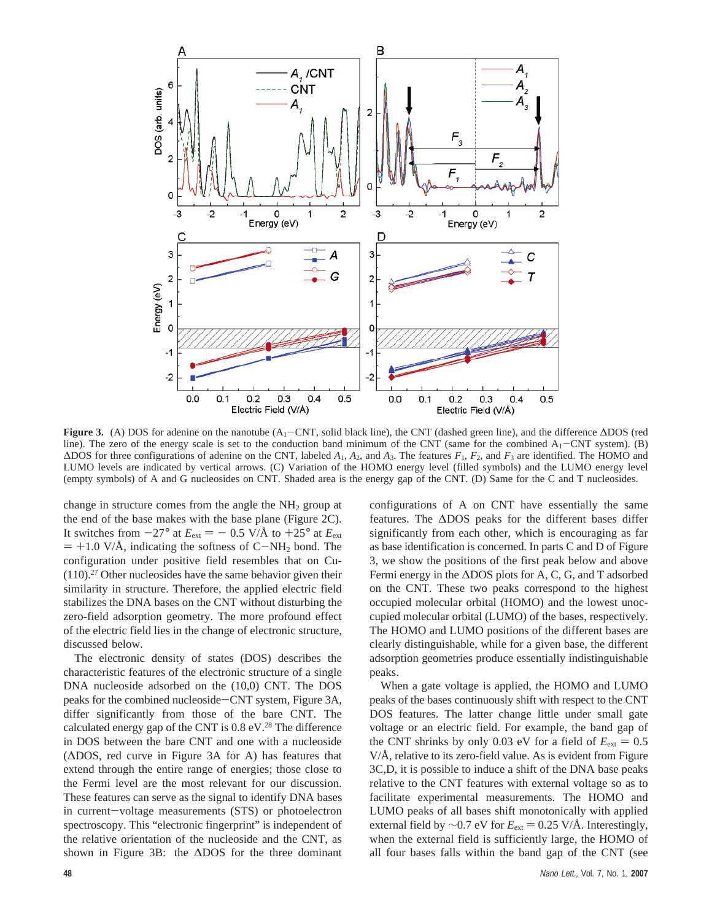

**Figure 3.** (A) DOS for adenine on the nanotube (A<sub>1</sub>-CNT, solid black line), the CNT (dashed green line), and the difference ∆DOS (red line). The zero of the energy scale is set to the conduction band minimum of the CNT (same for the combined  $A_1$ -CNT system). (B) ∆DOS for three configurations of adenine on the CNT, labeled *A*1, *A*2, and *A*3. The features *F*1, *F*2, and *F*<sup>3</sup> are identified. The HOMO and LUMO levels are indicated by vertical arrows. (C) Variation of the HOMO energy level (filled symbols) and the LUMO energy level (empty symbols) of A and G nucleosides on CNT. Shaded area is the energy gap of the CNT. (D) Same for the C and T nucleosides.

change in structure comes from the angle the  $NH<sub>2</sub>$  group at the end of the base makes with the base plane (Figure 2C). It switches from  $-27^{\circ}$  at  $E_{ext} = -0.5$  V/Å to  $+25^{\circ}$  at  $E_{ext}$  $= +1.0$  V/Å, indicating the softness of C-NH<sub>2</sub> bond. The configuration under positive field resembles that on Cu- (110).27 Other nucleosides have the same behavior given their similarity in structure. Therefore, the applied electric field stabilizes the DNA bases on the CNT without disturbing the zero-field adsorption geometry. The more profound effect of the electric field lies in the change of electronic structure, discussed below.

The electronic density of states (DOS) describes the characteristic features of the electronic structure of a single DNA nucleoside adsorbed on the (10,0) CNT. The DOS peaks for the combined nucleoside-CNT system, Figure 3A, differ significantly from those of the bare CNT. The calculated energy gap of the CNT is 0.8 eV.28 The difference in DOS between the bare CNT and one with a nucleoside (∆DOS, red curve in Figure 3A for A) has features that extend through the entire range of energies; those close to the Fermi level are the most relevant for our discussion. These features can serve as the signal to identify DNA bases in current-voltage measurements (STS) or photoelectron spectroscopy. This "electronic fingerprint" is independent of the relative orientation of the nucleoside and the CNT, as shown in Figure 3B: the ∆DOS for the three dominant

configurations of A on CNT have essentially the same features. The ∆DOS peaks for the different bases differ significantly from each other, which is encouraging as far as base identification is concerned. In parts C and D of Figure 3, we show the positions of the first peak below and above Fermi energy in the ∆DOS plots for A, C, G, and T adsorbed on the CNT. These two peaks correspond to the highest occupied molecular orbital (HOMO) and the lowest unoccupied molecular orbital (LUMO) of the bases, respectively. The HOMO and LUMO positions of the different bases are clearly distinguishable, while for a given base, the different adsorption geometries produce essentially indistinguishable peaks.

When a gate voltage is applied, the HOMO and LUMO peaks of the bases continuously shift with respect to the CNT DOS features. The latter change little under small gate voltage or an electric field. For example, the band gap of the CNT shrinks by only 0.03 eV for a field of  $E_{ext} = 0.5$ V/Å, relative to its zero-field value. As is evident from Figure 3C,D, it is possible to induce a shift of the DNA base peaks relative to the CNT features with external voltage so as to facilitate experimental measurements. The HOMO and LUMO peaks of all bases shift monotonically with applied external field by  $\sim$ 0.7 eV for  $E_{ext}$  = 0.25 V/Å. Interestingly, when the external field is sufficiently large, the HOMO of all four bases falls within the band gap of the CNT (see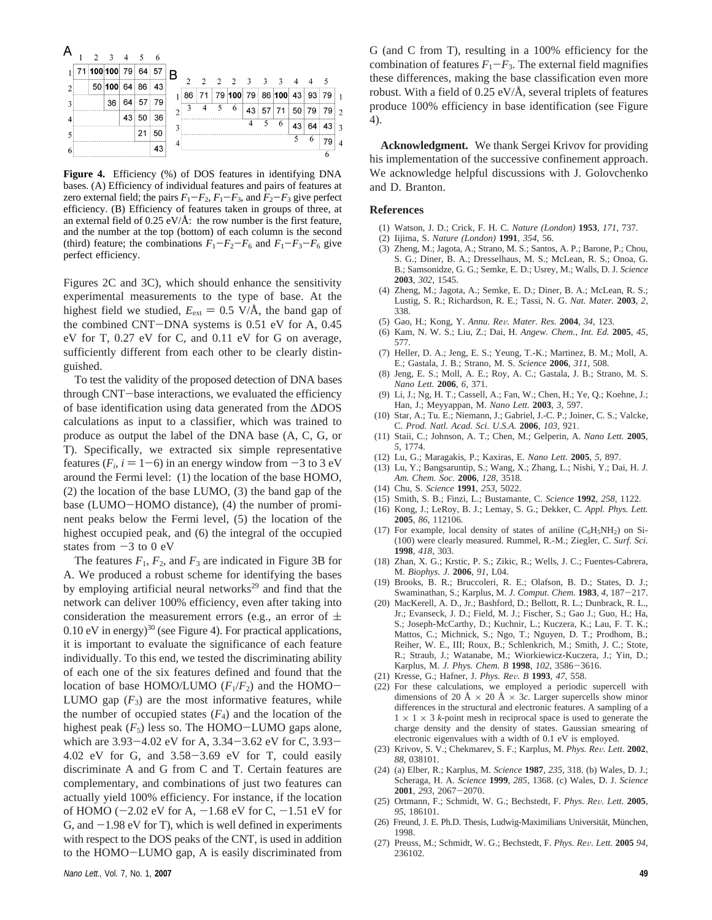|    | 2 | $\overline{\mathbf{3}}$ | -4 | - 5 | -6 |               |                |    |     |                           |                           |                         |                          |    |       |     |   |
|----|---|-------------------------|----|-----|----|---------------|----------------|----|-----|---------------------------|---------------------------|-------------------------|--------------------------|----|-------|-----|---|
|    |   |                         |    |     |    |               |                |    |     |                           |                           |                         |                          |    |       |     |   |
|    |   | 71 100 100 79           |    | 64  | 57 | B             |                |    |     |                           |                           |                         |                          |    |       |     |   |
| 2: |   | 50 100 64 86            |    |     | 43 |               | $\overline{2}$ | 2  | 2 2 |                           | $\overline{\phantom{a}3}$ | $\overline{\mathbf{3}}$ | $\overline{\phantom{a}}$ | 4  | 4     | - 5 |   |
|    |   |                         |    |     |    | 1             | 86             | 71 |     | 79 100 79 86 100 43 93 79 |                           |                         |                          |    |       |     |   |
| 3: |   | 36                      | 64 | 57  | 79 |               |                |    | 5   | 6                         | 43                        | 57                      | 71                       |    | 50 79 | 79  |   |
|    |   |                         | 43 | 50  | 36 | $\mathcal{D}$ |                |    |     |                           |                           |                         |                          |    |       |     | 2 |
|    |   |                         |    |     |    |               |                |    |     |                           | 4                         | 5                       | 6                        | 43 | 64    | 43  | ٥ |
|    |   |                         |    | 21  | 50 |               |                |    |     |                           |                           |                         |                          | 5  | 6     | 79  |   |
| 6  |   |                         |    |     | 43 |               |                |    |     |                           |                           |                         |                          |    |       |     |   |
|    |   |                         |    |     |    |               |                |    |     |                           |                           |                         |                          |    |       |     |   |

**Figure 4.** Efficiency (%) of DOS features in identifying DNA bases. (A) Efficiency of individual features and pairs of features at zero external field; the pairs  $F_1 - F_2$ ,  $F_1 - F_3$ , and  $F_2 - F_3$  give perfect efficiency. (B) Efficiency of features taken in groups of three, at an external field of  $0.25 \text{ eV/A}$ : the row number is the first feature, and the number at the top (bottom) of each column is the second (third) feature; the combinations  $F_1 - F_2 - F_6$  and  $F_1 - F_3 - F_6$  give perfect efficiency.

Figures 2C and 3C), which should enhance the sensitivity experimental measurements to the type of base. At the highest field we studied,  $E_{ext} = 0.5$  V/Å, the band gap of the combined CNT-DNA systems is 0.51 eV for A, 0.45 eV for T, 0.27 eV for C, and 0.11 eV for G on average, sufficiently different from each other to be clearly distinguished.

To test the validity of the proposed detection of DNA bases through CNT-base interactions, we evaluated the efficiency of base identification using data generated from the ∆DOS calculations as input to a classifier, which was trained to produce as output the label of the DNA base (A, C, G, or T). Specifically, we extracted six simple representative features ( $F_i$ ,  $i = 1-6$ ) in an energy window from  $-3$  to 3 eV around the Fermi level: (1) the location of the base HOMO, (2) the location of the base LUMO, (3) the band gap of the base (LUMO-HOMO distance), (4) the number of prominent peaks below the Fermi level, (5) the location of the highest occupied peak, and (6) the integral of the occupied states from  $-3$  to 0 eV

The features  $F_1$ ,  $F_2$ , and  $F_3$  are indicated in Figure 3B for A. We produced a robust scheme for identifying the bases by employing artificial neural networks<sup>29</sup> and find that the network can deliver 100% efficiency, even after taking into consideration the measurement errors (e.g., an error of  $\pm$  $0.10$  eV in energy)<sup>30</sup> (see Figure 4). For practical applications, it is important to evaluate the significance of each feature individually. To this end, we tested the discriminating ability of each one of the six features defined and found that the location of base HOMO/LUMO  $(F_1/F_2)$  and the HOMO-LUMO gap  $(F_3)$  are the most informative features, while the number of occupied states  $(F_4)$  and the location of the highest peak  $(F_5)$  less so. The HOMO-LUMO gaps alone, which are 3.93-4.02 eV for A, 3.34-3.62 eV for C, 3.93- 4.02 eV for G, and 3.58-3.69 eV for T, could easily discriminate A and G from C and T. Certain features are complementary, and combinations of just two features can actually yield 100% efficiency. For instance, if the location of HOMO ( $-2.02$  eV for A,  $-1.68$  eV for C,  $-1.51$  eV for G, and  $-1.98$  eV for T), which is well defined in experiments with respect to the DOS peaks of the CNT, is used in addition to the HOMO-LUMO gap, A is easily discriminated from

G (and C from T), resulting in a 100% efficiency for the combination of features  $F_1-F_3$ . The external field magnifies these differences, making the base classification even more robust. With a field of 0.25 eV/Å, several triplets of features produce 100% efficiency in base identification (see Figure 4).

**Acknowledgment.** We thank Sergei Krivov for providing his implementation of the successive confinement approach. We acknowledge helpful discussions with J. Golovchenko and D. Branton.

## **References**

- (1) Watson, J. D.; Crick, F. H. C. *Nature (London)* **1953**, *171*, 737.
- (2) Iijima, S. *Nature (London)* **1991**, *354*, 56.
- (3) Zheng, M.; Jagota, A.; Strano, M. S.; Santos, A. P.; Barone, P.; Chou, S. G.; Diner, B. A.; Dresselhaus, M. S.; McLean, R. S.; Onoa, G. B.; Samsonidze, G. G.; Semke, E. D.; Usrey, M.; Walls, D. J. *Science* **2003**, *302*, 1545.
- (4) Zheng, M.; Jagota, A.; Semke, E. D.; Diner, B. A.; McLean, R. S.; Lustig, S. R.; Richardson, R. E.; Tassi, N. G. *Nat. Mater.* **2003**, *2*, 338.
- (5) Gao, H.; Kong, Y. *Annu. Re*V*. Mater. Res.* **<sup>2004</sup>**, *<sup>34</sup>*, 123.
- (6) Kam, N. W. S.; Liu, Z.; Dai, H. *Angew. Chem., Int. Ed.* **2005**, *45*, 577.
- (7) Heller, D. A.; Jeng, E. S.; Yeung, T.-K.; Martinez, B. M.; Moll, A. E.; Gastala, J. B.; Strano, M. S. *Science* **2006**, *311*, 508.
- (8) Jeng, E. S.; Moll, A. E.; Roy, A. C.; Gastala, J. B.; Strano, M. S. *Nano Lett.* **2006**, *6*, 371.
- (9) Li, J.; Ng, H. T.; Cassell, A.; Fan, W.; Chen, H.; Ye, Q.; Koehne, J.; Han, J.; Meyyappan, M. *Nano Lett.* **2003**, *3*, 597.
- (10) Star, A.; Tu. E.; Niemann, J.; Gabriel, J.-C. P.; Joiner, C. S.; Valcke, C. *Prod. Natl. Acad. Sci. U.S.A.* **2006**, *103*, 921.
- (11) Staii, C.; Johnson, A. T.; Chen, M.; Gelperin, A. *Nano Lett.* **2005**, *5*, 1774.
- (12) Lu, G.; Maragakis, P.; Kaxiras, E. *Nano Lett.* **2005**, *5*, 897.
- (13) Lu, Y.; Bangsaruntip, S.; Wang, X.; Zhang, L.; Nishi, Y.; Dai, H. *J. Am. Chem. Soc.* **2006**, *128*, 3518.
- (14) Chu, S. *Science* **1991**, *253*, 5022.
- (15) Smith, S. B.; Finzi, L.; Bustamante, C. *Science* **1992**, *258*, 1122.
- (16) Kong, J.; LeRoy, B. J.; Lemay, S. G.; Dekker, C. *Appl. Phys. Lett.* **2005**, *86*, 112106.
- (17) For example, local density of states of aniline  $(C_6H_5NH_2)$  on Si-(100) were clearly measured. Rummel, R.-M.; Ziegler, C. *Surf. Sci.* **1998**, *418*, 303.
- (18) Zhan, X. G.; Krstic, P. S.; Zikic, R.; Wells, J. C.; Fuentes-Cabrera, M. *Biophys. J.* **2006**, *91*, L04.
- (19) Brooks, B. R.; Bruccoleri, R. E.; Olafson, B. D.; States, D. J.; Swaminathan, S.; Karplus, M. *J. Comput. Chem.* **<sup>1983</sup>**, *<sup>4</sup>*, 187-217.
- (20) MacKerell, A. D., Jr.; Bashford, D.; Bellott, R. L.; Dunbrack, R. L., Jr.; Evanseck, J. D.; Field, M. J.; Fischer, S.; Gao J.; Guo, H.; Ha, S.; Joseph-McCarthy, D.; Kuchnir, L.; Kuczera, K.; Lau, F. T. K.; Mattos, C.; Michnick, S.; Ngo, T.; Nguyen, D. T.; Prodhom, B.; Reiher, W. E., III; Roux, B.; Schlenkrich, M.; Smith, J. C.; Stote, R.; Straub, J.; Watanabe, M.; Wiorkiewicz-Kuczera, J.; Yin, D.; Karplus, M. *J. Phys. Chem. B* **<sup>1998</sup>**, *<sup>102</sup>*, 3586-3616.
- (21) Kresse, G.; Hafner, J. *Phys. Re*V*. B* **<sup>1993</sup>**, *<sup>47</sup>*, 558.
- (22) For these calculations, we employed a periodic supercell with dimensions of 20 Å × 20 Å × 3*c*. Larger supercells show minor differences in the structural and electronic features. A sampling of a  $1 \times 1 \times 3$  *k*-point mesh in reciprocal space is used to generate the charge density and the density of states. Gaussian smearing of electronic eigenvalues with a width of 0.1 eV is employed.
- (23) Krivov, S. V.; Chekmarev, S. F.; Karplus, M. *Phys. Re*V*. Lett.* **<sup>2002</sup>**, *88*, 038101.
- (24) (a) Elber, R.; Karplus, M. *Science* **1987**, *235*, 318. (b) Wales, D. J.; Scheraga, H. A. *Science* **1999**, *285*, 1368. (c) Wales, D. J. *Science* **<sup>2001</sup>**, *<sup>293</sup>*, 2067-2070.
- (25) Ortmann, F.; Schmidt, W. G.; Bechstedt, F. *Phys. Re*V*. Lett.* **<sup>2005</sup>**, *95*, 186101.
- (26) Freund, J. E. Ph.D. Thesis, Ludwig-Maximilians Universität, München, 1998.
- (27) Preuss, M.; Schmidt, W. G.; Bechstedt, F. *Phys. Re*V*. Lett.* **<sup>2005</sup>** *<sup>94</sup>*, 236102.